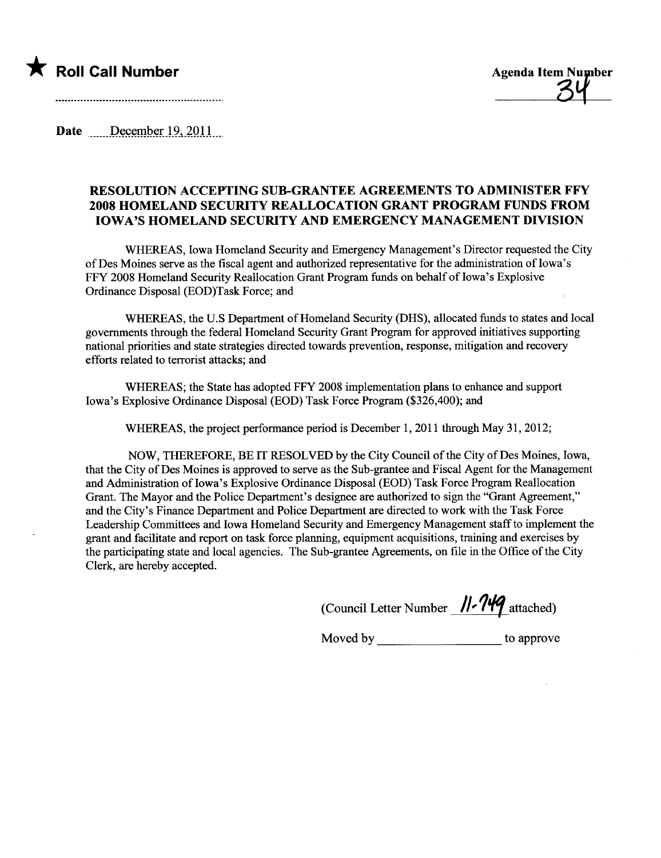

Date December 19, 2011

## RESOLUTION ACCEPTING SUB-GRATEE AGREEMENTS TO ADMINISTER FFY 2008 HOMELAND SECURITY REALLOCATION GRAT PROGRAM FUNDS FROM IOWA'S HOMELAND SECURITY AND EMERGENCY MANAGEMENT DIVISION

WHEREAS, Iowa Homeland Security and Emergency Management's Director requested the City of Des Moines serve as the fiscal agent and authorized representative for the administration of Iowa's FFY 2008 Homeland Security Reallocation Grant Program fuds on behalf of Iowa's Explosive Ordinance Disposal (EOD)Task Force; and

WHEREAS, the U.S Department of Homeland Securty (DHS), allocated fuds to states and local governents through the federal Homeland Security Grant Program for approved initiatives supporting national priorities and state strategies directed towards prevention, response, mitigation and recovery efforts related to terrorist attacks; and

WHEREAS; the State has adopted FFY 2008 implementation plans to enhance and support Iowa's Explosive Ordinance Disposal (EOD) Task Force Program (\$326,400); and

WHREAS, the project performance period is December 1, 2011 through May 31, 2012;

NOW, THEREFORE, BE IT RESOLVED by the City Council of the City of Des Moines, Iowa, that the City of Des Moines is approved to serve as the Sub-grantee and Fiscal Agent for the Management and Administration of Iowa's Explosive Ordinance Disposal (EOD) Task Force Program Reallocation Grant. The Mayor and the Police Department's designee are authorized to sign the "Grant Agreement," and the City's Finance Deparment and Police Deparment are directed to work with the Task Force Leadership Committees and Iowa Homeland Securty and Emergency Management staff to implement the grant and faciltate and report on task force plannng, equipment acquisitions, training and exercises by the participating state and local agencies. The Sub-grantee Agreements, on file in the Office of the City Clerk, are hereby accepted.

(Council Letter Number  $\frac{11.749}{}$ attached)

Moved by \_\_\_\_\_\_\_\_\_\_\_\_\_\_\_\_\_\_\_\_\_\_\_\_\_ to approve